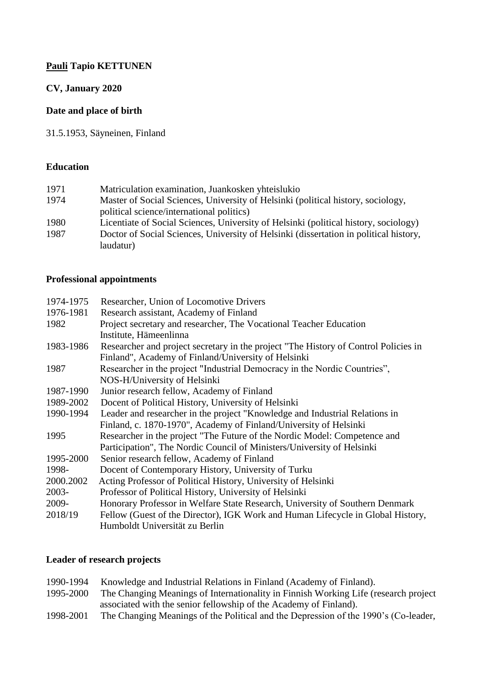## **Pauli Tapio KETTUNEN**

## **CV, January 2020**

## **Date and place of birth**

31.5.1953, Säyneinen, Finland

### **Education**

| 1971 | Matriculation examination, Juankosken yhteislukio                                     |
|------|---------------------------------------------------------------------------------------|
| 1974 | Master of Social Sciences, University of Helsinki (political history, sociology,      |
|      | political science/international politics)                                             |
| 1980 | Licentiate of Social Sciences, University of Helsinki (political history, sociology)  |
| 1987 | Doctor of Social Sciences, University of Helsinki (dissertation in political history, |
|      | laudatur)                                                                             |

## **Professional appointments**

| 1974-1975 | Researcher, Union of Locomotive Drivers                                             |
|-----------|-------------------------------------------------------------------------------------|
| 1976-1981 | Research assistant, Academy of Finland                                              |
| 1982      | Project secretary and researcher, The Vocational Teacher Education                  |
|           | Institute, Hämeenlinna                                                              |
| 1983-1986 | Researcher and project secretary in the project "The History of Control Policies in |
|           | Finland", Academy of Finland/University of Helsinki                                 |
| 1987      | Researcher in the project "Industrial Democracy in the Nordic Countries",           |
|           | NOS-H/University of Helsinki                                                        |
| 1987-1990 | Junior research fellow, Academy of Finland                                          |
| 1989-2002 | Docent of Political History, University of Helsinki                                 |
| 1990-1994 | Leader and researcher in the project "Knowledge and Industrial Relations in         |
|           | Finland, c. 1870-1970", Academy of Finland/University of Helsinki                   |
| 1995      | Researcher in the project "The Future of the Nordic Model: Competence and           |
|           | Participation", The Nordic Council of Ministers/University of Helsinki              |
| 1995-2000 | Senior research fellow, Academy of Finland                                          |
| 1998-     | Docent of Contemporary History, University of Turku                                 |
| 2000.2002 | Acting Professor of Political History, University of Helsinki                       |
| 2003-     | Professor of Political History, University of Helsinki                              |
| 2009-     | Honorary Professor in Welfare State Research, University of Southern Denmark        |
| 2018/19   | Fellow (Guest of the Director), IGK Work and Human Lifecycle in Global History,     |
|           | Humboldt Universität zu Berlin                                                      |
|           |                                                                                     |

## **Leader of research projects**

| 1990-1994 | Knowledge and Industrial Relations in Finland (Academy of Finland).                  |
|-----------|--------------------------------------------------------------------------------------|
| 1995-2000 | The Changing Meanings of Internationality in Finnish Working Life (research project) |
|           | associated with the senior fellowship of the Academy of Finland).                    |
| 1998-2001 | The Changing Meanings of the Political and the Depression of the 1990's (Co-leader,  |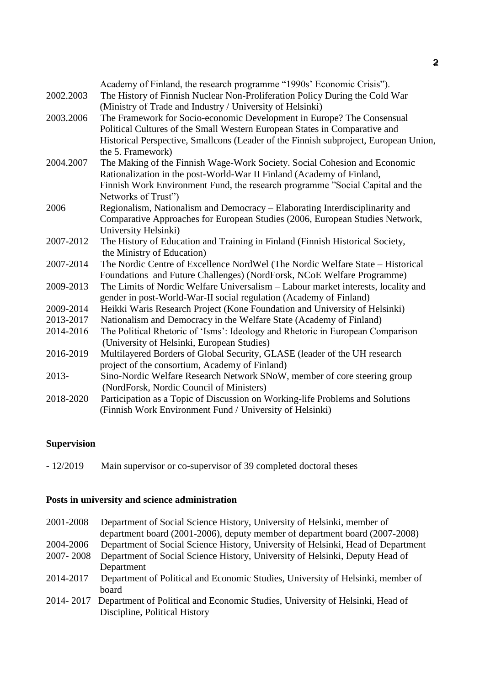|           | Academy of Finland, the research programme "1990s' Economic Crisis").                |
|-----------|--------------------------------------------------------------------------------------|
| 2002.2003 | The History of Finnish Nuclear Non-Proliferation Policy During the Cold War          |
|           | (Ministry of Trade and Industry / University of Helsinki)                            |
| 2003.2006 | The Framework for Socio-economic Development in Europe? The Consensual               |
|           | Political Cultures of the Small Western European States in Comparative and           |
|           | Historical Perspective, Smallcons (Leader of the Finnish subproject, European Union, |
|           | the 5. Framework)                                                                    |
| 2004.2007 | The Making of the Finnish Wage-Work Society. Social Cohesion and Economic            |
|           | Rationalization in the post-World-War II Finland (Academy of Finland,                |
|           | Finnish Work Environment Fund, the research programme "Social Capital and the        |
|           | Networks of Trust")                                                                  |
| 2006      | Regionalism, Nationalism and Democracy - Elaborating Interdisciplinarity and         |
|           | Comparative Approaches for European Studies (2006, European Studies Network,         |
|           | University Helsinki)                                                                 |
| 2007-2012 | The History of Education and Training in Finland (Finnish Historical Society,        |
|           | the Ministry of Education)                                                           |
| 2007-2014 | The Nordic Centre of Excellence NordWel (The Nordic Welfare State - Historical       |
|           | Foundations and Future Challenges) (NordForsk, NCoE Welfare Programme)               |
| 2009-2013 | The Limits of Nordic Welfare Universalism - Labour market interests, locality and    |
|           | gender in post-World-War-II social regulation (Academy of Finland)                   |
| 2009-2014 | Heikki Waris Research Project (Kone Foundation and University of Helsinki)           |
| 2013-2017 | Nationalism and Democracy in the Welfare State (Academy of Finland)                  |
| 2014-2016 | The Political Rhetoric of 'Isms': Ideology and Rhetoric in European Comparison       |
|           | (University of Helsinki, European Studies)                                           |
| 2016-2019 | Multilayered Borders of Global Security, GLASE (leader of the UH research            |
|           | project of the consortium, Academy of Finland)                                       |
| 2013-     | Sino-Nordic Welfare Research Network SNoW, member of core steering group             |
|           | (NordForsk, Nordic Council of Ministers)                                             |
| 2018-2020 | Participation as a Topic of Discussion on Working-life Problems and Solutions        |
|           | (Finnish Work Environment Fund / University of Helsinki)                             |

# **Supervision**

- 12/2019 Main supervisor or co-supervisor of 39 completed doctoral theses

## **Posts in university and science administration**

| 2001-2008 | Department of Social Science History, University of Helsinki, member of          |
|-----------|----------------------------------------------------------------------------------|
|           | department board (2001-2006), deputy member of department board (2007-2008)      |
| 2004-2006 | Department of Social Science History, University of Helsinki, Head of Department |
| 2007-2008 | Department of Social Science History, University of Helsinki, Deputy Head of     |
|           | Department                                                                       |
| 2014-2017 | Department of Political and Economic Studies, University of Helsinki, member of  |
|           | board                                                                            |
| 2014-2017 | Department of Political and Economic Studies, University of Helsinki, Head of    |
|           | Discipline, Political History                                                    |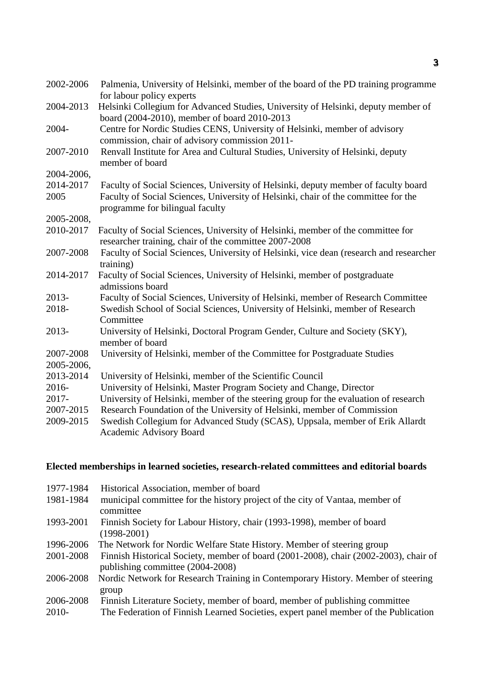| 2002-2006               | Palmenia, University of Helsinki, member of the board of the PD training programme<br>for labour policy experts                          |
|-------------------------|------------------------------------------------------------------------------------------------------------------------------------------|
| 2004-2013               | Helsinki Collegium for Advanced Studies, University of Helsinki, deputy member of<br>board (2004-2010), member of board 2010-2013        |
| 2004-                   | Centre for Nordic Studies CENS, University of Helsinki, member of advisory<br>commission, chair of advisory commission 2011-             |
| 2007-2010               | Renvall Institute for Area and Cultural Studies, University of Helsinki, deputy<br>member of board                                       |
| 2004-2006,              |                                                                                                                                          |
| 2014-2017               | Faculty of Social Sciences, University of Helsinki, deputy member of faculty board                                                       |
| 2005                    | Faculty of Social Sciences, University of Helsinki, chair of the committee for the<br>programme for bilingual faculty                    |
| 2005-2008,              |                                                                                                                                          |
| 2010-2017               | Faculty of Social Sciences, University of Helsinki, member of the committee for<br>researcher training, chair of the committee 2007-2008 |
| 2007-2008               | Faculty of Social Sciences, University of Helsinki, vice dean (research and researcher<br>training)                                      |
| 2014-2017               | Faculty of Social Sciences, University of Helsinki, member of postgraduate<br>admissions board                                           |
| 2013-                   | Faculty of Social Sciences, University of Helsinki, member of Research Committee                                                         |
| 2018-                   | Swedish School of Social Sciences, University of Helsinki, member of Research<br>Committee                                               |
| 2013-                   | University of Helsinki, Doctoral Program Gender, Culture and Society (SKY),<br>member of board                                           |
| 2007-2008<br>2005-2006, | University of Helsinki, member of the Committee for Postgraduate Studies                                                                 |
| 2013-2014               | University of Helsinki, member of the Scientific Council                                                                                 |
| 2016-                   | University of Helsinki, Master Program Society and Change, Director                                                                      |
| $2017 -$                | University of Helsinki, member of the steering group for the evaluation of research                                                      |
| 2007-2015               | Research Foundation of the University of Helsinki, member of Commission                                                                  |
| 2009-2015               | Swedish Collegium for Advanced Study (SCAS), Uppsala, member of Erik Allardt<br><b>Academic Advisory Board</b>                           |

# **Elected memberships in learned societies, research-related committees and editorial boards**

| 1977-1984 | Historical Association, member of board                                              |
|-----------|--------------------------------------------------------------------------------------|
| 1981-1984 | municipal committee for the history project of the city of Vantaa, member of         |
|           | committee                                                                            |
| 1993-2001 | Finnish Society for Labour History, chair (1993-1998), member of board               |
|           | $(1998-2001)$                                                                        |
| 1996-2006 | The Network for Nordic Welfare State History. Member of steering group               |
| 2001-2008 | Finnish Historical Society, member of board (2001-2008), chair (2002-2003), chair of |
|           | publishing committee (2004-2008)                                                     |
| 2006-2008 | Nordic Network for Research Training in Contemporary History. Member of steering     |
|           | group                                                                                |
| 2006-2008 | Finnish Literature Society, member of board, member of publishing committee          |
| 2010-     | The Federation of Finnish Learned Societies, expert panel member of the Publication  |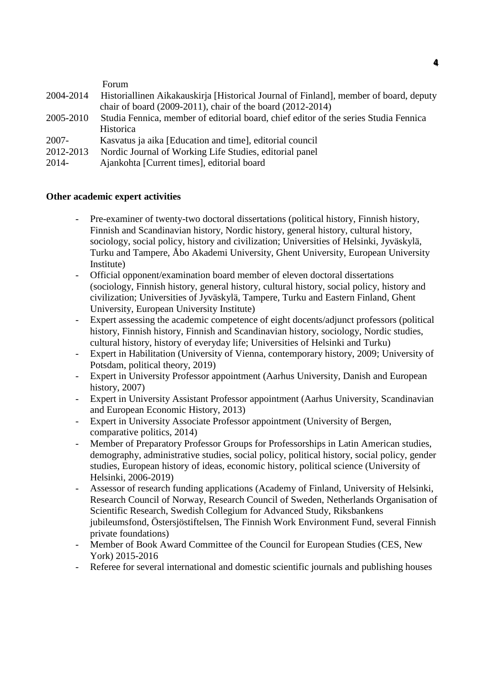|           | Forum                                                                                 |
|-----------|---------------------------------------------------------------------------------------|
| 2004-2014 | Historiallinen Aikakauskirja [Historical Journal of Finland], member of board, deputy |
|           | chair of board $(2009-2011)$ , chair of the board $(2012-2014)$                       |
| 2005-2010 | Studia Fennica, member of editorial board, chief editor of the series Studia Fennica  |
|           | Historica                                                                             |
| 2007-     | Kasvatus ja aika [Education and time], editorial council                              |
| 2012-2013 | Nordic Journal of Working Life Studies, editorial panel                               |
| 2014-     | Ajankohta [Current times], editorial board                                            |
|           |                                                                                       |

#### **Other academic expert activities**

- Pre-examiner of twenty-two doctoral dissertations (political history, Finnish history, Finnish and Scandinavian history, Nordic history, general history, cultural history, sociology, social policy, history and civilization; Universities of Helsinki, Jyväskylä, Turku and Tampere, Åbo Akademi University, Ghent University, European University Institute)
- Official opponent/examination board member of eleven doctoral dissertations (sociology, Finnish history, general history, cultural history, social policy, history and civilization; Universities of Jyväskylä, Tampere, Turku and Eastern Finland, Ghent University, European University Institute)
- Expert assessing the academic competence of eight docents/adjunct professors (political history, Finnish history, Finnish and Scandinavian history, sociology, Nordic studies, cultural history, history of everyday life; Universities of Helsinki and Turku)
- Expert in Habilitation (University of Vienna, contemporary history, 2009; University of Potsdam, political theory, 2019)
- Expert in University Professor appointment (Aarhus University, Danish and European history, 2007)
- Expert in University Assistant Professor appointment (Aarhus University, Scandinavian and European Economic History, 2013)
- Expert in University Associate Professor appointment (University of Bergen, comparative politics, 2014)
- Member of Preparatory Professor Groups for Professorships in Latin American studies, demography, administrative studies, social policy, political history, social policy, gender studies, European history of ideas, economic history, political science (University of Helsinki, 2006-2019)
- Assessor of research funding applications (Academy of Finland, University of Helsinki, Research Council of Norway, Research Council of Sweden, Netherlands Organisation of Scientific Research, Swedish Collegium for Advanced Study, Riksbankens jubileumsfond, Östersjöstiftelsen, The Finnish Work Environment Fund, several Finnish private foundations)
- Member of Book Award Committee of the Council for European Studies (CES, New York) 2015-2016
- Referee for several international and domestic scientific journals and publishing houses